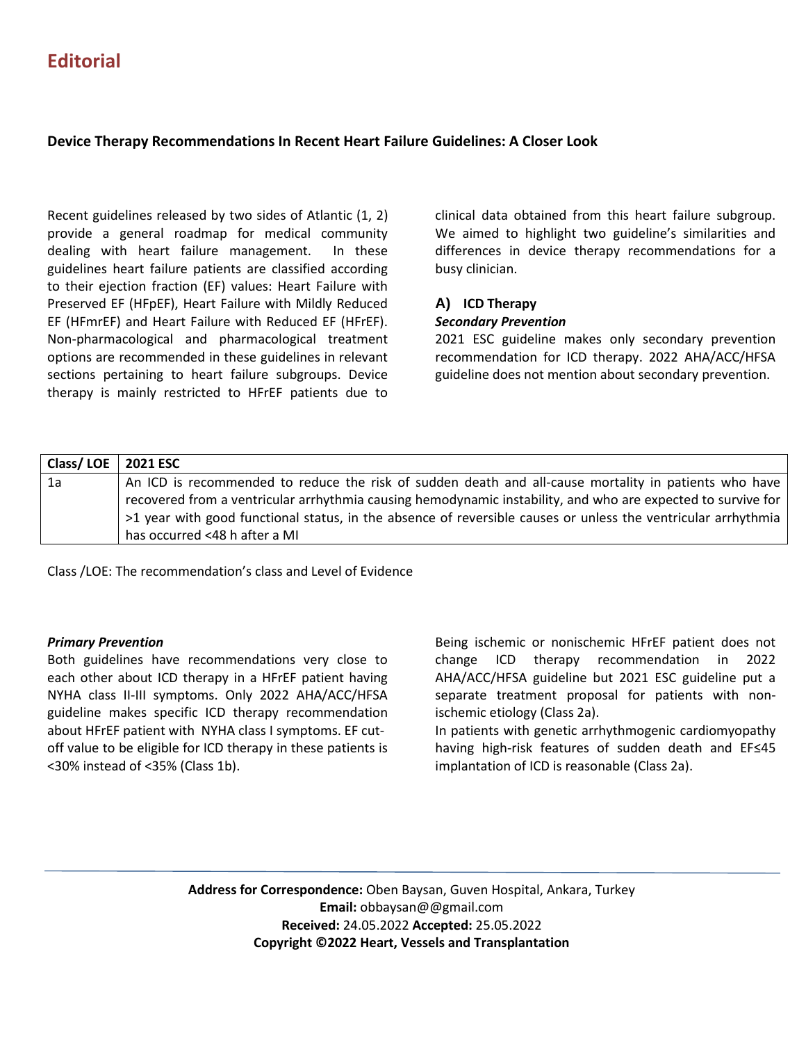# **Editorial**

# **Device Therapy Recommendations In Recent Heart Failure Guidelines: A Closer Look**

Recent guidelines released by two sides of Atlantic (1, 2) provide a general roadmap for medical community dealing with heart failure management. In these guidelines heart failure patients are classified according to their ejection fraction (EF) values: Heart Failure with Preserved EF (HFpEF), Heart Failure with Mildly Reduced EF (HFmrEF) and Heart Failure with Reduced EF (HFrEF). Non-pharmacological and pharmacological treatment options are recommended in these guidelines in relevant sections pertaining to heart failure subgroups. Device therapy is mainly restricted to HFrEF patients due to

clinical data obtained from this heart failure subgroup. We aimed to highlight two guideline's similarities and differences in device therapy recommendations for a busy clinician.

### **A) ICD Therapy** *Secondary Prevention*

2021 ESC guideline makes only secondary prevention recommendation for ICD therapy. 2022 AHA/ACC/HFSA guideline does not mention about secondary prevention.

| Class/LOE $\vert$ 2021 ESC |                                                                                                               |
|----------------------------|---------------------------------------------------------------------------------------------------------------|
| 1a                         | An ICD is recommended to reduce the risk of sudden death and all-cause mortality in patients who have         |
|                            | recovered from a ventricular arrhythmia causing hemodynamic instability, and who are expected to survive for  |
|                            | >1 year with good functional status, in the absence of reversible causes or unless the ventricular arrhythmia |
|                            | has occurred <48 h after a MI                                                                                 |

Class /LOE: The recommendation's class and Level of Evidence

### *Primary Prevention*

Both guidelines have recommendations very close to each other about ICD therapy in a HFrEF patient having NYHA class II-III symptoms. Only 2022 AHA/ACC/HFSA guideline makes specific ICD therapy recommendation about HFrEF patient with NYHA class I symptoms. EF cutoff value to be eligible for ICD therapy in these patients is <30% instead of <35% (Class 1b).

Being ischemic or nonischemic HFrEF patient does not change ICD therapy recommendation in 2022 AHA/ACC/HFSA guideline but 2021 ESC guideline put a separate treatment proposal for patients with nonischemic etiology (Class 2a).

In patients with genetic arrhythmogenic cardiomyopathy having high-risk features of sudden death and EF≤45 implantation of ICD is reasonable (Class 2a).

**Address for Correspondence:** Oben Baysan, Guven Hospital, Ankara, Turkey **Email:** obbaysan@@gmail.com **Received:** 24.05.2022 **Accepted:** 25.05.2022 **Copyright ©2022 Heart, Vessels and Transplantation**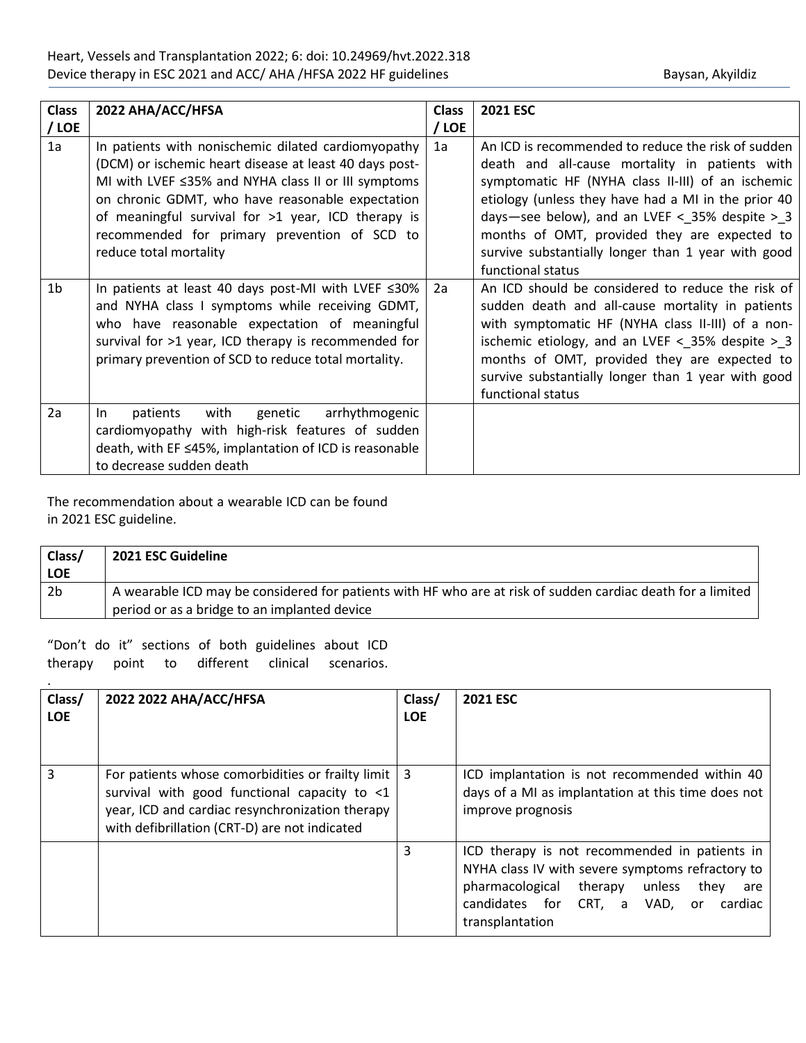| <b>Class</b><br>/ LOE | 2022 AHA/ACC/HFSA                                                                                                                                                                                                                                                                                                                                        | <b>Class</b><br>/ LOE | <b>2021 ESC</b>                                                                                                                                                                                                                                                                                                                                                                                  |
|-----------------------|----------------------------------------------------------------------------------------------------------------------------------------------------------------------------------------------------------------------------------------------------------------------------------------------------------------------------------------------------------|-----------------------|--------------------------------------------------------------------------------------------------------------------------------------------------------------------------------------------------------------------------------------------------------------------------------------------------------------------------------------------------------------------------------------------------|
| 1a                    | In patients with nonischemic dilated cardiomyopathy<br>(DCM) or ischemic heart disease at least 40 days post-<br>MI with LVEF ≤35% and NYHA class II or III symptoms<br>on chronic GDMT, who have reasonable expectation<br>of meaningful survival for >1 year, ICD therapy is<br>recommended for primary prevention of SCD to<br>reduce total mortality | 1a                    | An ICD is recommended to reduce the risk of sudden<br>death and all-cause mortality in patients with<br>symptomatic HF (NYHA class II-III) of an ischemic<br>etiology (unless they have had a MI in the prior 40<br>days-see below), and an LVEF < $35\%$ despite > 3<br>months of OMT, provided they are expected to<br>survive substantially longer than 1 year with good<br>functional status |
| 1b                    | In patients at least 40 days post-MI with LVEF $\leq 30\%$<br>and NYHA class I symptoms while receiving GDMT,<br>who have reasonable expectation of meaningful<br>survival for >1 year, ICD therapy is recommended for<br>primary prevention of SCD to reduce total mortality.                                                                           | 2a                    | An ICD should be considered to reduce the risk of<br>sudden death and all-cause mortality in patients<br>with symptomatic HF (NYHA class II-III) of a non-<br>ischemic etiology, and an LVEF < $35\%$ despite > 3<br>months of OMT, provided they are expected to<br>survive substantially longer than 1 year with good<br>functional status                                                     |
| 2a                    | with<br>genetic<br>arrhythmogenic<br>patients<br>In.<br>cardiomyopathy with high-risk features of sudden<br>death, with EF ≤45%, implantation of ICD is reasonable<br>to decrease sudden death                                                                                                                                                           |                       |                                                                                                                                                                                                                                                                                                                                                                                                  |

The recommendation about a wearable ICD can be found in 2021 ESC guideline.

| Class/         | 2021 ESC Guideline                                                                                          |
|----------------|-------------------------------------------------------------------------------------------------------------|
| <b>LOE</b>     |                                                                                                             |
| 2 <sub>b</sub> | A wearable ICD may be considered for patients with HF who are at risk of sudden cardiac death for a limited |
|                | period or as a bridge to an implanted device                                                                |

"Don't do it" sections of both guidelines about ICD therapy point to different clinical scenarios.

.

| Class/<br><b>LOE</b> | 2022 2022 AHA/ACC/HFSA                                                                                                                                                                                | Class/<br><b>LOE</b> | <b>2021 ESC</b>                                                                                                                                                                                                      |
|----------------------|-------------------------------------------------------------------------------------------------------------------------------------------------------------------------------------------------------|----------------------|----------------------------------------------------------------------------------------------------------------------------------------------------------------------------------------------------------------------|
| 3                    | For patients whose comorbidities or frailty limit<br>survival with good functional capacity to <1<br>year, ICD and cardiac resynchronization therapy<br>with defibrillation (CRT-D) are not indicated | -3                   | ICD implantation is not recommended within 40<br>days of a MI as implantation at this time does not<br>improve prognosis                                                                                             |
|                      |                                                                                                                                                                                                       | 3                    | ICD therapy is not recommended in patients in<br>NYHA class IV with severe symptoms refractory to<br>pharmacological therapy<br>unless<br>they<br>are<br>candidates for CRT, a VAD, or<br>cardiac<br>transplantation |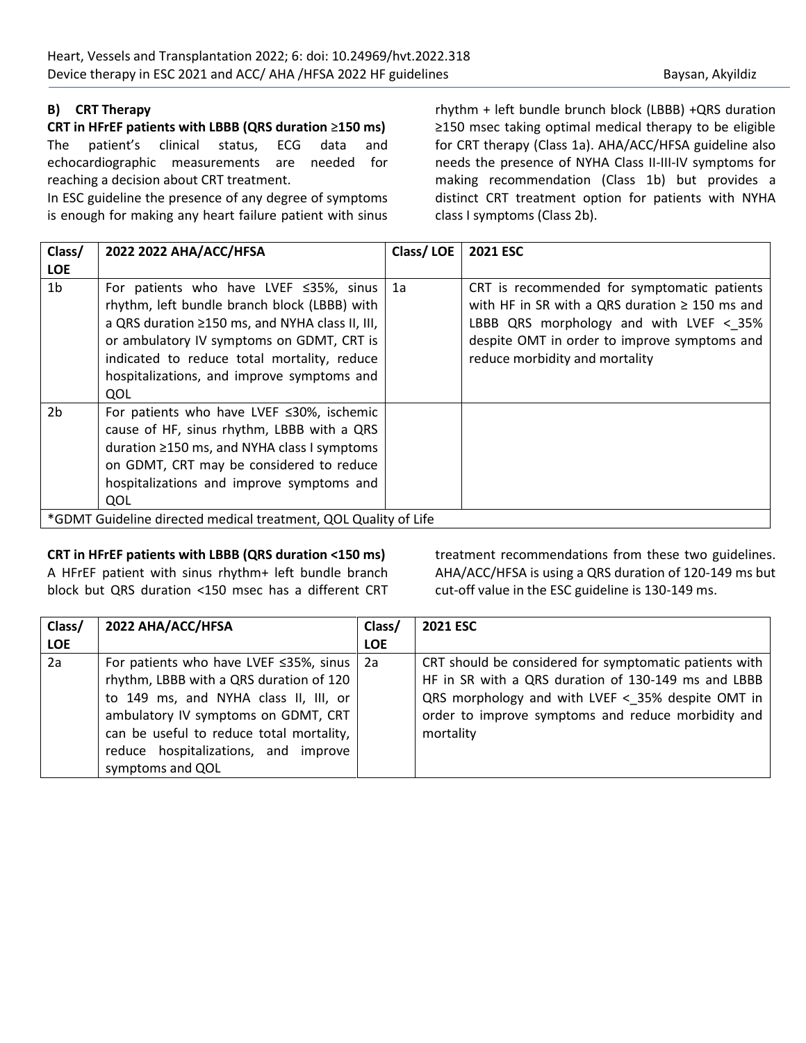# **B) CRT Therapy**

**CRT in HFrEF patients with LBBB (QRS duration** ≥**150 ms)** The patient's clinical status, ECG data and echocardiographic measurements are needed for reaching a decision about CRT treatment.

In ESC guideline the presence of any degree of symptoms is enough for making any heart failure patient with sinus rhythm + left bundle brunch block (LBBB) +QRS duration ≥150 msec taking optimal medical therapy to be eligible for CRT therapy (Class 1a). AHA/ACC/HFSA guideline also needs the presence of NYHA Class II-III-IV symptoms for making recommendation (Class 1b) but provides a distinct CRT treatment option for patients with NYHA class I symptoms (Class 2b).

| Class/<br><b>LOE</b> | 2022 2022 AHA/ACC/HFSA                                                                                                                                                                                                                                                                           | Class/LOE | <b>2021 ESC</b>                                                                                                                                                                                                                   |
|----------------------|--------------------------------------------------------------------------------------------------------------------------------------------------------------------------------------------------------------------------------------------------------------------------------------------------|-----------|-----------------------------------------------------------------------------------------------------------------------------------------------------------------------------------------------------------------------------------|
| 1 <sub>b</sub>       | For patients who have LVEF $\leq$ 35%, sinus<br>rhythm, left bundle branch block (LBBB) with<br>a QRS duration ≥150 ms, and NYHA class II, III,<br>or ambulatory IV symptoms on GDMT, CRT is<br>indicated to reduce total mortality, reduce<br>hospitalizations, and improve symptoms and<br>QOL | 1a        | CRT is recommended for symptomatic patients<br>with HF in SR with a QRS duration $\geq$ 150 ms and<br>LBBB QRS morphology and with LVEF $<$ 35%<br>despite OMT in order to improve symptoms and<br>reduce morbidity and mortality |
| 2 <sub>b</sub>       | For patients who have LVEF $\leq$ 30%, ischemic<br>cause of HF, sinus rhythm, LBBB with a QRS<br>duration $\geq$ 150 ms, and NYHA class I symptoms<br>on GDMT, CRT may be considered to reduce<br>hospitalizations and improve symptoms and<br>QOL                                               |           |                                                                                                                                                                                                                                   |
|                      | *GDMT Guideline directed medical treatment, QOL Quality of Life                                                                                                                                                                                                                                  |           |                                                                                                                                                                                                                                   |

### **CRT in HFrEF patients with LBBB (QRS duration <150 ms)**

A HFrEF patient with sinus rhythm+ left bundle branch block but QRS duration <150 msec has a different CRT treatment recommendations from these two guidelines. AHA/ACC/HFSA is using a QRS duration of 120-149 ms but cut-off value in the ESC guideline is 130-149 ms.

| Class/     | 2022 AHA/ACC/HFSA                        | Class/     | <b>2021 ESC</b>                                        |
|------------|------------------------------------------|------------|--------------------------------------------------------|
| <b>LOE</b> |                                          | <b>LOE</b> |                                                        |
| 2a         | For patients who have LVEF ≤35%, sinus   | -2а        | CRT should be considered for symptomatic patients with |
|            | rhythm, LBBB with a QRS duration of 120  |            | HF in SR with a QRS duration of 130-149 ms and LBBB    |
|            | to 149 ms, and NYHA class II, III, or    |            | QRS morphology and with LVEF < 35% despite OMT in      |
|            | ambulatory IV symptoms on GDMT, CRT      |            | order to improve symptoms and reduce morbidity and     |
|            | can be useful to reduce total mortality, |            | mortality                                              |
|            | reduce hospitalizations, and improve     |            |                                                        |
|            | symptoms and QOL                         |            |                                                        |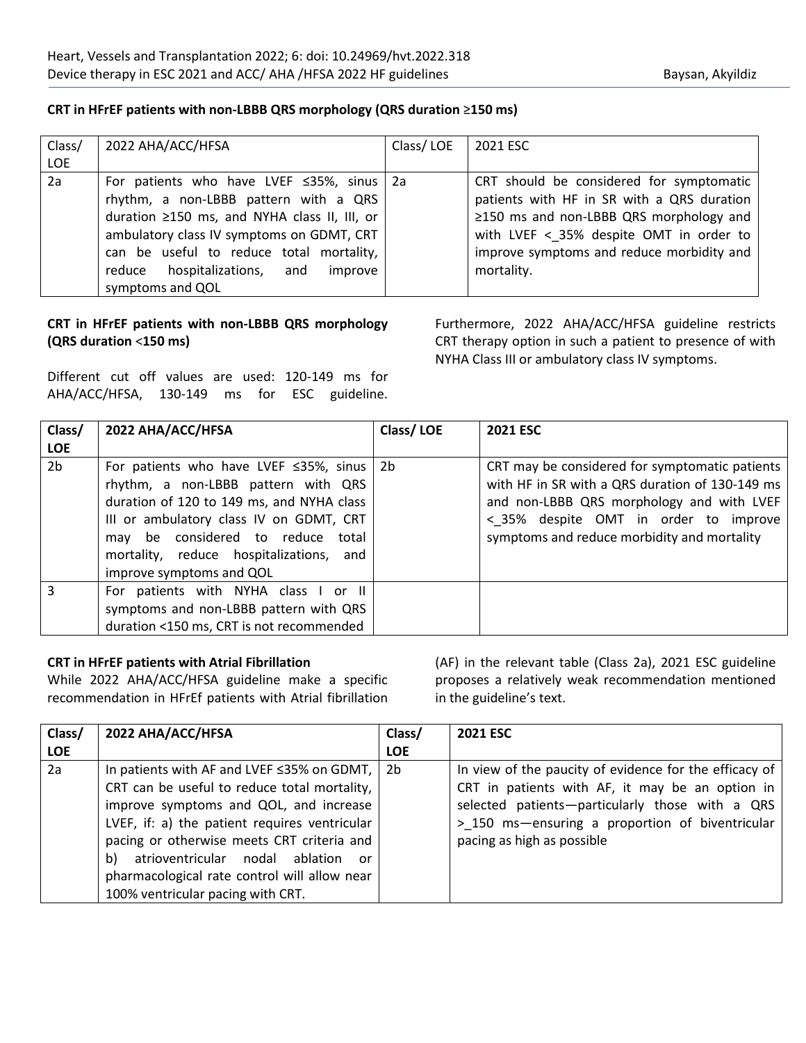# **CRT in HFrEF patients with non-LBBB QRS morphology (QRS duration** ≥**150 ms)**

| Class/     | 2022 AHA/ACC/HFSA                            | Class/LOE | 2021 ESC                                      |
|------------|----------------------------------------------|-----------|-----------------------------------------------|
| <b>LOE</b> |                                              |           |                                               |
| 2a         | For patients who have LVEF ≤35%, sinus   2a  |           | CRT should be considered for symptomatic      |
|            | rhythm, a non-LBBB pattern with a QRS        |           | patients with HF in SR with a QRS duration    |
|            | duration ≥150 ms, and NYHA class II, III, or |           | $\geq$ 150 ms and non-LBBB QRS morphology and |
|            | ambulatory class IV symptoms on GDMT, CRT    |           | with LVEF < 35% despite OMT in order to       |
|            | can be useful to reduce total mortality,     |           | improve symptoms and reduce morbidity and     |
|            | hospitalizations, and<br>improve<br>reduce   |           | mortality.                                    |
|            | symptoms and QOL                             |           |                                               |

# **CRT in HFrEF patients with non-LBBB QRS morphology (QRS duration** <**150 ms)**

Different cut off values are used: 120-149 ms for AHA/ACC/HFSA, 130-149 ms for ESC guideline.

Furthermore, 2022 AHA/ACC/HFSA guideline restricts CRT therapy option in such a patient to presence of with NYHA Class III or ambulatory class IV symptoms.

| Class/<br><b>LOE</b> | 2022 AHA/ACC/HFSA                                                                                                                                                                                                                                                                            | Class/LOE | <b>2021 ESC</b>                                                                                                                                                                                                                        |
|----------------------|----------------------------------------------------------------------------------------------------------------------------------------------------------------------------------------------------------------------------------------------------------------------------------------------|-----------|----------------------------------------------------------------------------------------------------------------------------------------------------------------------------------------------------------------------------------------|
| 2 <sub>b</sub>       | For patients who have LVEF $\leq$ 35%, sinus   2b<br>rhythm, a non-LBBB pattern with QRS<br>duration of 120 to 149 ms, and NYHA class<br>III or ambulatory class IV on GDMT, CRT<br>may be considered to reduce total<br>mortality, reduce hospitalizations, and<br>improve symptoms and QOL |           | CRT may be considered for symptomatic patients<br>with HF in SR with a QRS duration of 130-149 ms<br>and non-LBBB QRS morphology and with LVEF<br>< 35% despite OMT in order to improve<br>symptoms and reduce morbidity and mortality |
| 3                    | For patients with NYHA class I or II<br>symptoms and non-LBBB pattern with QRS<br>duration <150 ms, CRT is not recommended                                                                                                                                                                   |           |                                                                                                                                                                                                                                        |

### **CRT in HFrEF patients with Atrial Fibrillation**

While 2022 AHA/ACC/HFSA guideline make a specific recommendation in HFrEf patients with Atrial fibrillation (AF) in the relevant table (Class 2a), 2021 ESC guideline proposes a relatively weak recommendation mentioned in the guideline's text.

| Class/     | 2022 AHA/ACC/HFSA                             | Class/     | <b>2021 ESC</b>                                        |
|------------|-----------------------------------------------|------------|--------------------------------------------------------|
| <b>LOE</b> |                                               | <b>LOE</b> |                                                        |
| 2a         | In patients with AF and LVEF ≤35% on GDMT,    | 2b         | In view of the paucity of evidence for the efficacy of |
|            | CRT can be useful to reduce total mortality,  |            | CRT in patients with AF, it may be an option in        |
|            | improve symptoms and QOL, and increase        |            | selected patients-particularly those with a QRS        |
|            | LVEF, if: a) the patient requires ventricular |            | > 150 ms-ensuring a proportion of biventricular        |
|            | pacing or otherwise meets CRT criteria and    |            | pacing as high as possible                             |
|            | atrioventricular nodal ablation or<br>b)      |            |                                                        |
|            | pharmacological rate control will allow near  |            |                                                        |
|            | 100% ventricular pacing with CRT.             |            |                                                        |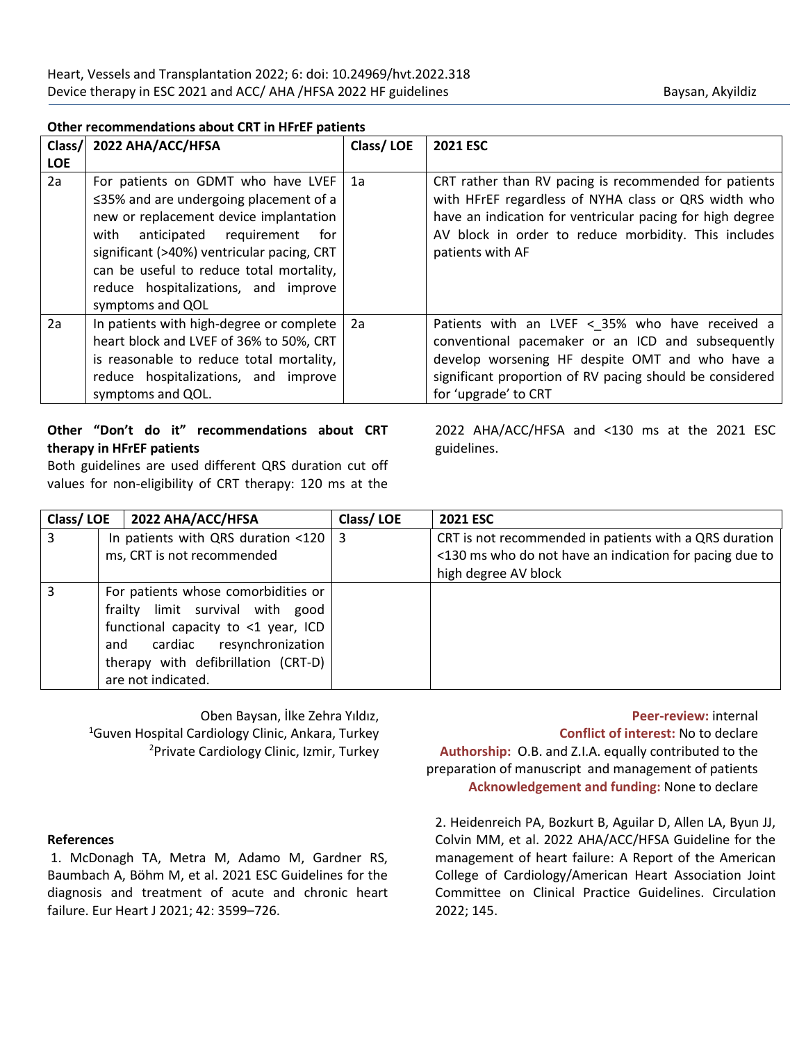# **Other recommendations about CRT in HFrEF patients**

| Class/     | 2022 AHA/ACC/HFSA                                                                                                                                                                                                                                                                                                               | Class/LOE | <b>2021 ESC</b>                                                                                                                                                                                                                                        |
|------------|---------------------------------------------------------------------------------------------------------------------------------------------------------------------------------------------------------------------------------------------------------------------------------------------------------------------------------|-----------|--------------------------------------------------------------------------------------------------------------------------------------------------------------------------------------------------------------------------------------------------------|
| <b>LOE</b> |                                                                                                                                                                                                                                                                                                                                 |           |                                                                                                                                                                                                                                                        |
| 2a         | For patients on GDMT who have LVEF<br>$\leq$ 35% and are undergoing placement of a<br>new or replacement device implantation<br>requirement<br>anticipated<br>for<br>with<br>significant (>40%) ventricular pacing, CRT<br>can be useful to reduce total mortality,<br>reduce hospitalizations, and improve<br>symptoms and QOL | 1a        | CRT rather than RV pacing is recommended for patients<br>with HFrEF regardless of NYHA class or QRS width who<br>have an indication for ventricular pacing for high degree<br>AV block in order to reduce morbidity. This includes<br>patients with AF |
| 2a         | In patients with high-degree or complete<br>heart block and LVEF of 36% to 50%, CRT<br>is reasonable to reduce total mortality,<br>reduce hospitalizations, and improve<br>symptoms and QOL.                                                                                                                                    | 2a        | Patients with an LVEF < 35% who have received a<br>conventional pacemaker or an ICD and subsequently<br>develop worsening HF despite OMT and who have a<br>significant proportion of RV pacing should be considered<br>for 'upgrade' to CRT            |

# **Other "Don't do it" recommendations about CRT therapy in HFrEF patients**

Both guidelines are used different QRS duration cut off values for non-eligibility of CRT therapy: 120 ms at the

2022 AHA/ACC/HFSA and <130 ms at the 2021 ESC guidelines.

| Class/LOE | 2022 AHA/ACC/HFSA                                                                                                                                                                                            | Class/LOE | <b>2021 ESC</b>                                                                                                                           |
|-----------|--------------------------------------------------------------------------------------------------------------------------------------------------------------------------------------------------------------|-----------|-------------------------------------------------------------------------------------------------------------------------------------------|
| 3         | In patients with QRS duration <120   3<br>ms, CRT is not recommended                                                                                                                                         |           | CRT is not recommended in patients with a QRS duration<br><130 ms who do not have an indication for pacing due to<br>high degree AV block |
| 3         | For patients whose comorbidities or<br>frailty limit survival with good<br>functional capacity to <1 year, ICD<br>and cardiac resynchronization<br>therapy with defibrillation (CRT-D)<br>are not indicated. |           |                                                                                                                                           |

Oben Baysan, İlke Zehra Yıldız, <sup>1</sup>Guven Hospital Cardiology Clinic, Ankara, Turkey <sup>2</sup>Private Cardiology Clinic, Izmir, Turkey

**Peer-review:** internal **Conflict of interest:** No to declare **Authorship:** O.B. and Z.I.A. equally contributed to the preparation of manuscript and management of patients **Acknowledgement and funding:** None to declare

### **References**

1. McDonagh TA, Metra M, Adamo M, Gardner RS, Baumbach A, Böhm M, et al. 2021 ESC Guidelines for the diagnosis and treatment of acute and chronic heart failure. Eur Heart J 2021; 42: 3599–726.

2. Heidenreich PA, Bozkurt B, Aguilar D, Allen LA, Byun JJ, Colvin MM, et al. 2022 AHA/ACC/HFSA Guideline for the management of heart failure: A Report of the American College of Cardiology/American Heart Association Joint Committee on Clinical Practice Guidelines. Circulation 2022; 145.